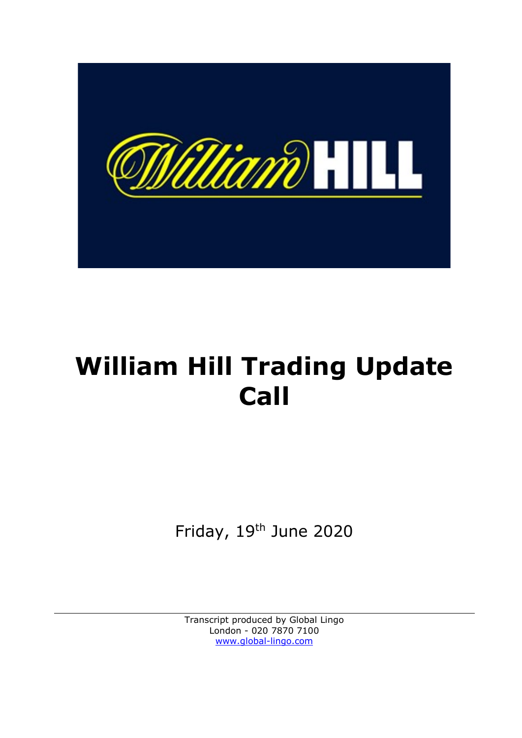

# William Hill Trading Update Call

Friday, 19th June 2020

Transcript produced by Global Lingo London - 020 7870 7100 www.global-lingo.com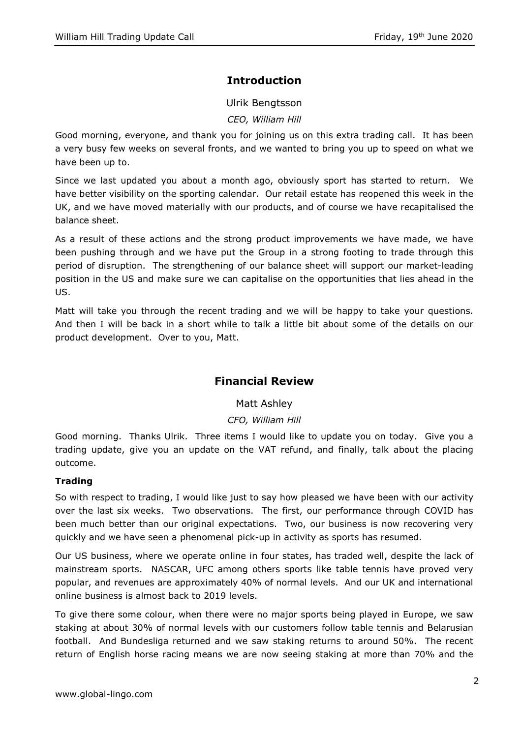# Introduction

Ulrik Bengtsson

CEO, William Hill

Good morning, everyone, and thank you for joining us on this extra trading call. It has been a very busy few weeks on several fronts, and we wanted to bring you up to speed on what we have been up to.

Since we last updated you about a month ago, obviously sport has started to return. We have better visibility on the sporting calendar. Our retail estate has reopened this week in the UK, and we have moved materially with our products, and of course we have recapitalised the balance sheet.

As a result of these actions and the strong product improvements we have made, we have been pushing through and we have put the Group in a strong footing to trade through this period of disruption. The strengthening of our balance sheet will support our market-leading position in the US and make sure we can capitalise on the opportunities that lies ahead in the US.

Matt will take you through the recent trading and we will be happy to take your questions. And then I will be back in a short while to talk a little bit about some of the details on our product development. Over to you, Matt.

## Financial Review

## Matt Ashley

## CFO, William Hill

Good morning. Thanks Ulrik. Three items I would like to update you on today. Give you a trading update, give you an update on the VAT refund, and finally, talk about the placing outcome.

## Trading

So with respect to trading, I would like just to say how pleased we have been with our activity over the last six weeks. Two observations. The first, our performance through COVID has been much better than our original expectations. Two, our business is now recovering very quickly and we have seen a phenomenal pick-up in activity as sports has resumed.

Our US business, where we operate online in four states, has traded well, despite the lack of mainstream sports. NASCAR, UFC among others sports like table tennis have proved very popular, and revenues are approximately 40% of normal levels. And our UK and international online business is almost back to 2019 levels.

To give there some colour, when there were no major sports being played in Europe, we saw staking at about 30% of normal levels with our customers follow table tennis and Belarusian football. And Bundesliga returned and we saw staking returns to around 50%. The recent return of English horse racing means we are now seeing staking at more than 70% and the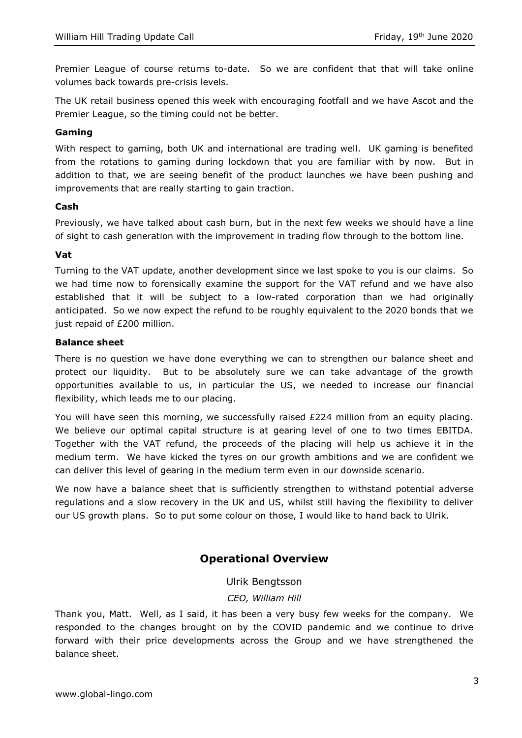Premier League of course returns to-date. So we are confident that that will take online volumes back towards pre-crisis levels.

The UK retail business opened this week with encouraging footfall and we have Ascot and the Premier League, so the timing could not be better.

## Gaming

With respect to gaming, both UK and international are trading well. UK gaming is benefited from the rotations to gaming during lockdown that you are familiar with by now. But in addition to that, we are seeing benefit of the product launches we have been pushing and improvements that are really starting to gain traction.

## Cash

Previously, we have talked about cash burn, but in the next few weeks we should have a line of sight to cash generation with the improvement in trading flow through to the bottom line.

## Vat

Turning to the VAT update, another development since we last spoke to you is our claims. So we had time now to forensically examine the support for the VAT refund and we have also established that it will be subject to a low-rated corporation than we had originally anticipated. So we now expect the refund to be roughly equivalent to the 2020 bonds that we just repaid of £200 million.

## Balance sheet

There is no question we have done everything we can to strengthen our balance sheet and protect our liquidity. But to be absolutely sure we can take advantage of the growth opportunities available to us, in particular the US, we needed to increase our financial flexibility, which leads me to our placing.

You will have seen this morning, we successfully raised £224 million from an equity placing. We believe our optimal capital structure is at gearing level of one to two times EBITDA. Together with the VAT refund, the proceeds of the placing will help us achieve it in the medium term. We have kicked the tyres on our growth ambitions and we are confident we can deliver this level of gearing in the medium term even in our downside scenario.

We now have a balance sheet that is sufficiently strengthen to withstand potential adverse regulations and a slow recovery in the UK and US, whilst still having the flexibility to deliver our US growth plans. So to put some colour on those, I would like to hand back to Ulrik.

## Operational Overview

### Ulrik Bengtsson

### CEO, William Hill

Thank you, Matt. Well, as I said, it has been a very busy few weeks for the company. We responded to the changes brought on by the COVID pandemic and we continue to drive forward with their price developments across the Group and we have strengthened the balance sheet.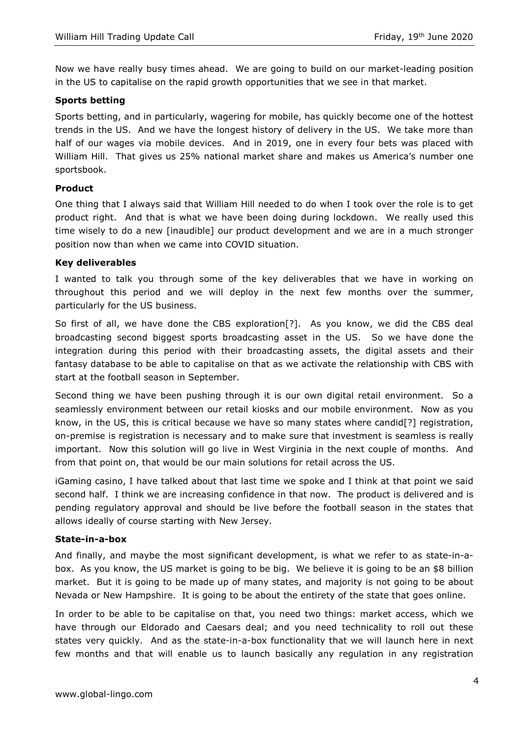Now we have really busy times ahead. We are going to build on our market-leading position in the US to capitalise on the rapid growth opportunities that we see in that market.

## Sports betting

Sports betting, and in particularly, wagering for mobile, has quickly become one of the hottest trends in the US. And we have the longest history of delivery in the US. We take more than half of our wages via mobile devices. And in 2019, one in every four bets was placed with William Hill. That gives us 25% national market share and makes us America's number one sportsbook.

## Product

One thing that I always said that William Hill needed to do when I took over the role is to get product right. And that is what we have been doing during lockdown. We really used this time wisely to do a new [inaudible] our product development and we are in a much stronger position now than when we came into COVID situation.

## Key deliverables

I wanted to talk you through some of the key deliverables that we have in working on throughout this period and we will deploy in the next few months over the summer, particularly for the US business.

So first of all, we have done the CBS exploration[?]. As you know, we did the CBS deal broadcasting second biggest sports broadcasting asset in the US. So we have done the integration during this period with their broadcasting assets, the digital assets and their fantasy database to be able to capitalise on that as we activate the relationship with CBS with start at the football season in September.

Second thing we have been pushing through it is our own digital retail environment. So a seamlessly environment between our retail kiosks and our mobile environment. Now as you know, in the US, this is critical because we have so many states where candid[?] registration, on-premise is registration is necessary and to make sure that investment is seamless is really important. Now this solution will go live in West Virginia in the next couple of months. And from that point on, that would be our main solutions for retail across the US.

iGaming casino, I have talked about that last time we spoke and I think at that point we said second half. I think we are increasing confidence in that now. The product is delivered and is pending regulatory approval and should be live before the football season in the states that allows ideally of course starting with New Jersey.

### State-in-a-box

And finally, and maybe the most significant development, is what we refer to as state-in-abox. As you know, the US market is going to be big. We believe it is going to be an \$8 billion market. But it is going to be made up of many states, and majority is not going to be about Nevada or New Hampshire. It is going to be about the entirety of the state that goes online.

In order to be able to be capitalise on that, you need two things: market access, which we have through our Eldorado and Caesars deal; and you need technicality to roll out these states very quickly. And as the state-in-a-box functionality that we will launch here in next few months and that will enable us to launch basically any regulation in any registration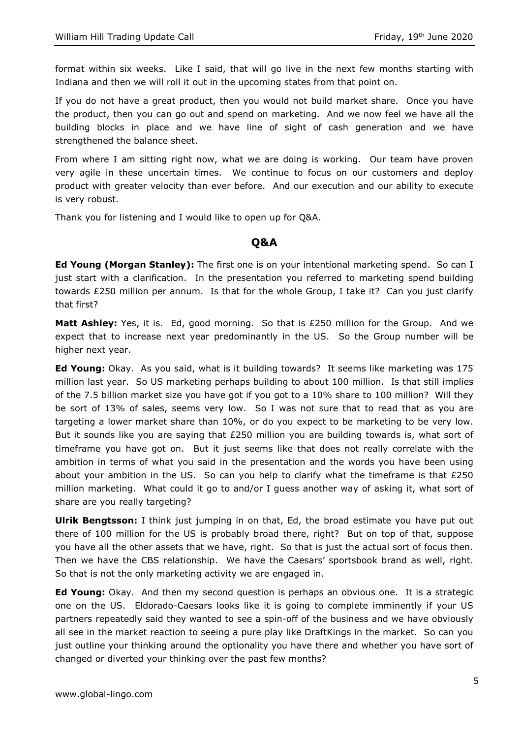format within six weeks. Like I said, that will go live in the next few months starting with Indiana and then we will roll it out in the upcoming states from that point on.

If you do not have a great product, then you would not build market share. Once you have the product, then you can go out and spend on marketing. And we now feel we have all the building blocks in place and we have line of sight of cash generation and we have strengthened the balance sheet.

From where I am sitting right now, what we are doing is working. Our team have proven very agile in these uncertain times. We continue to focus on our customers and deploy product with greater velocity than ever before. And our execution and our ability to execute is very robust.

Thank you for listening and I would like to open up for Q&A.

## Q&A

**Ed Young (Morgan Stanley):** The first one is on your intentional marketing spend. So can I just start with a clarification. In the presentation you referred to marketing spend building towards £250 million per annum. Is that for the whole Group, I take it? Can you just clarify that first?

Matt Ashley: Yes, it is. Ed, good morning. So that is £250 million for the Group. And we expect that to increase next year predominantly in the US. So the Group number will be higher next year.

Ed Young: Okay. As you said, what is it building towards? It seems like marketing was 175 million last year. So US marketing perhaps building to about 100 million. Is that still implies of the 7.5 billion market size you have got if you got to a 10% share to 100 million? Will they be sort of 13% of sales, seems very low. So I was not sure that to read that as you are targeting a lower market share than 10%, or do you expect to be marketing to be very low. But it sounds like you are saying that £250 million you are building towards is, what sort of timeframe you have got on. But it just seems like that does not really correlate with the ambition in terms of what you said in the presentation and the words you have been using about your ambition in the US. So can you help to clarify what the timeframe is that  $£250$ million marketing. What could it go to and/or I guess another way of asking it, what sort of share are you really targeting?

**Ulrik Bengtsson:** I think just jumping in on that, Ed, the broad estimate you have put out there of 100 million for the US is probably broad there, right? But on top of that, suppose you have all the other assets that we have, right. So that is just the actual sort of focus then. Then we have the CBS relationship. We have the Caesars' sportsbook brand as well, right. So that is not the only marketing activity we are engaged in.

**Ed Young:** Okay. And then my second question is perhaps an obvious one. It is a strategic one on the US. Eldorado-Caesars looks like it is going to complete imminently if your US partners repeatedly said they wanted to see a spin-off of the business and we have obviously all see in the market reaction to seeing a pure play like DraftKings in the market. So can you just outline your thinking around the optionality you have there and whether you have sort of changed or diverted your thinking over the past few months?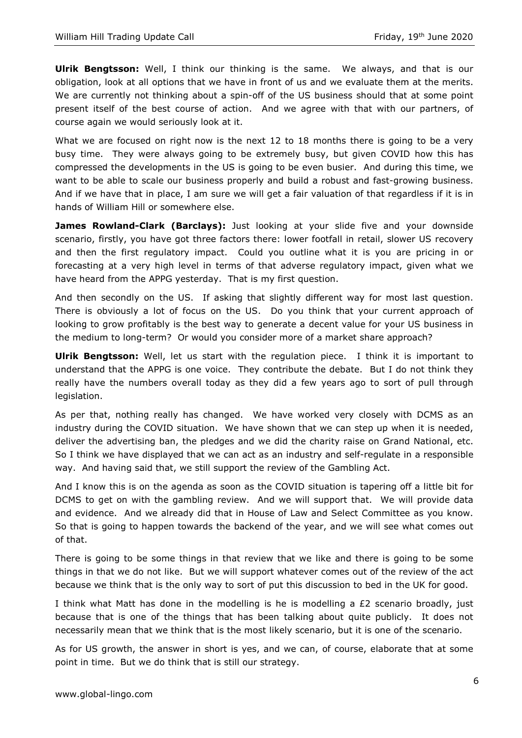Ulrik Bengtsson: Well, I think our thinking is the same. We always, and that is our obligation, look at all options that we have in front of us and we evaluate them at the merits. We are currently not thinking about a spin-off of the US business should that at some point present itself of the best course of action. And we agree with that with our partners, of course again we would seriously look at it.

What we are focused on right now is the next 12 to 18 months there is going to be a very busy time. They were always going to be extremely busy, but given COVID how this has compressed the developments in the US is going to be even busier. And during this time, we want to be able to scale our business properly and build a robust and fast-growing business. And if we have that in place, I am sure we will get a fair valuation of that regardless if it is in hands of William Hill or somewhere else.

James Rowland-Clark (Barclays): Just looking at your slide five and your downside scenario, firstly, you have got three factors there: lower footfall in retail, slower US recovery and then the first regulatory impact. Could you outline what it is you are pricing in or forecasting at a very high level in terms of that adverse regulatory impact, given what we have heard from the APPG yesterday. That is my first question.

And then secondly on the US. If asking that slightly different way for most last question. There is obviously a lot of focus on the US. Do you think that your current approach of looking to grow profitably is the best way to generate a decent value for your US business in the medium to long-term? Or would you consider more of a market share approach?

**Ulrik Bengtsson:** Well, let us start with the regulation piece. I think it is important to understand that the APPG is one voice. They contribute the debate. But I do not think they really have the numbers overall today as they did a few years ago to sort of pull through legislation.

As per that, nothing really has changed. We have worked very closely with DCMS as an industry during the COVID situation. We have shown that we can step up when it is needed, deliver the advertising ban, the pledges and we did the charity raise on Grand National, etc. So I think we have displayed that we can act as an industry and self-regulate in a responsible way. And having said that, we still support the review of the Gambling Act.

And I know this is on the agenda as soon as the COVID situation is tapering off a little bit for DCMS to get on with the gambling review. And we will support that. We will provide data and evidence. And we already did that in House of Law and Select Committee as you know. So that is going to happen towards the backend of the year, and we will see what comes out of that.

There is going to be some things in that review that we like and there is going to be some things in that we do not like. But we will support whatever comes out of the review of the act because we think that is the only way to sort of put this discussion to bed in the UK for good.

I think what Matt has done in the modelling is he is modelling a  $E2$  scenario broadly, just because that is one of the things that has been talking about quite publicly. It does not necessarily mean that we think that is the most likely scenario, but it is one of the scenario.

As for US growth, the answer in short is yes, and we can, of course, elaborate that at some point in time. But we do think that is still our strategy.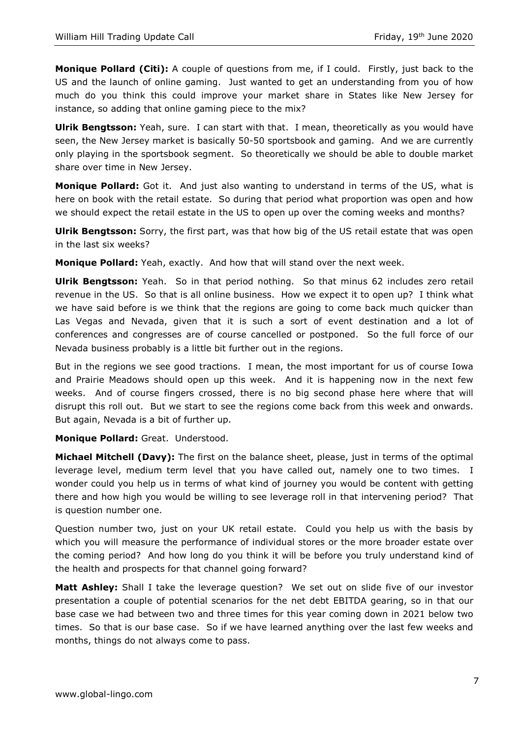**Monique Pollard (Citi):** A couple of questions from me, if I could. Firstly, just back to the US and the launch of online gaming. Just wanted to get an understanding from you of how much do you think this could improve your market share in States like New Jersey for instance, so adding that online gaming piece to the mix?

**Ulrik Bengtsson:** Yeah, sure. I can start with that. I mean, theoretically as you would have seen, the New Jersey market is basically 50-50 sportsbook and gaming. And we are currently only playing in the sportsbook segment. So theoretically we should be able to double market share over time in New Jersey.

Monique Pollard: Got it. And just also wanting to understand in terms of the US, what is here on book with the retail estate. So during that period what proportion was open and how we should expect the retail estate in the US to open up over the coming weeks and months?

**Ulrik Bengtsson:** Sorry, the first part, was that how big of the US retail estate that was open in the last six weeks?

Monique Pollard: Yeah, exactly. And how that will stand over the next week.

Ulrik Bengtsson: Yeah. So in that period nothing. So that minus 62 includes zero retail revenue in the US. So that is all online business. How we expect it to open up? I think what we have said before is we think that the regions are going to come back much quicker than Las Vegas and Nevada, given that it is such a sort of event destination and a lot of conferences and congresses are of course cancelled or postponed. So the full force of our Nevada business probably is a little bit further out in the regions.

But in the regions we see good tractions. I mean, the most important for us of course Iowa and Prairie Meadows should open up this week. And it is happening now in the next few weeks. And of course fingers crossed, there is no big second phase here where that will disrupt this roll out. But we start to see the regions come back from this week and onwards. But again, Nevada is a bit of further up.

Monique Pollard: Great. Understood.

Michael Mitchell (Davy): The first on the balance sheet, please, just in terms of the optimal leverage level, medium term level that you have called out, namely one to two times. I wonder could you help us in terms of what kind of journey you would be content with getting there and how high you would be willing to see leverage roll in that intervening period? That is question number one.

Question number two, just on your UK retail estate. Could you help us with the basis by which you will measure the performance of individual stores or the more broader estate over the coming period? And how long do you think it will be before you truly understand kind of the health and prospects for that channel going forward?

**Matt Ashley:** Shall I take the leverage question? We set out on slide five of our investor presentation a couple of potential scenarios for the net debt EBITDA gearing, so in that our base case we had between two and three times for this year coming down in 2021 below two times. So that is our base case. So if we have learned anything over the last few weeks and months, things do not always come to pass.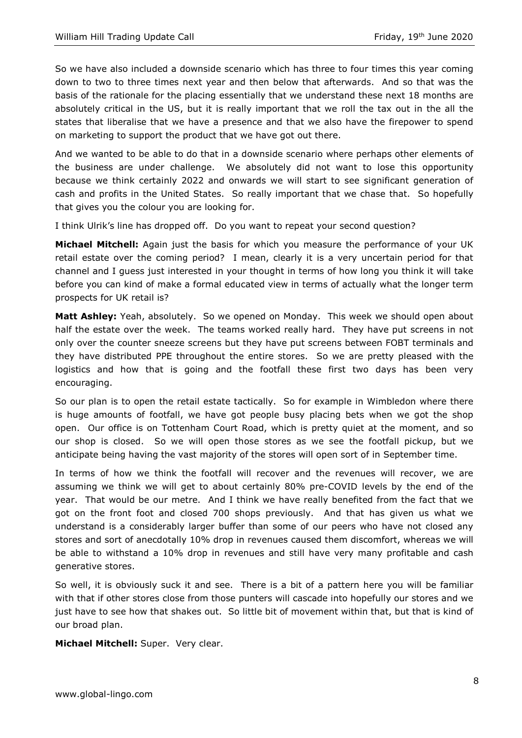So we have also included a downside scenario which has three to four times this year coming down to two to three times next year and then below that afterwards. And so that was the basis of the rationale for the placing essentially that we understand these next 18 months are absolutely critical in the US, but it is really important that we roll the tax out in the all the states that liberalise that we have a presence and that we also have the firepower to spend on marketing to support the product that we have got out there.

And we wanted to be able to do that in a downside scenario where perhaps other elements of the business are under challenge. We absolutely did not want to lose this opportunity because we think certainly 2022 and onwards we will start to see significant generation of cash and profits in the United States. So really important that we chase that. So hopefully that gives you the colour you are looking for.

I think Ulrik's line has dropped off. Do you want to repeat your second question?

**Michael Mitchell:** Again just the basis for which you measure the performance of your UK retail estate over the coming period? I mean, clearly it is a very uncertain period for that channel and I guess just interested in your thought in terms of how long you think it will take before you can kind of make a formal educated view in terms of actually what the longer term prospects for UK retail is?

Matt Ashley: Yeah, absolutely. So we opened on Monday. This week we should open about half the estate over the week. The teams worked really hard. They have put screens in not only over the counter sneeze screens but they have put screens between FOBT terminals and they have distributed PPE throughout the entire stores. So we are pretty pleased with the logistics and how that is going and the footfall these first two days has been very encouraging.

So our plan is to open the retail estate tactically. So for example in Wimbledon where there is huge amounts of footfall, we have got people busy placing bets when we got the shop open. Our office is on Tottenham Court Road, which is pretty quiet at the moment, and so our shop is closed. So we will open those stores as we see the footfall pickup, but we anticipate being having the vast majority of the stores will open sort of in September time.

In terms of how we think the footfall will recover and the revenues will recover, we are assuming we think we will get to about certainly 80% pre-COVID levels by the end of the year. That would be our metre. And I think we have really benefited from the fact that we got on the front foot and closed 700 shops previously. And that has given us what we understand is a considerably larger buffer than some of our peers who have not closed any stores and sort of anecdotally 10% drop in revenues caused them discomfort, whereas we will be able to withstand a 10% drop in revenues and still have very many profitable and cash generative stores.

So well, it is obviously suck it and see. There is a bit of a pattern here you will be familiar with that if other stores close from those punters will cascade into hopefully our stores and we just have to see how that shakes out. So little bit of movement within that, but that is kind of our broad plan.

Michael Mitchell: Super. Very clear.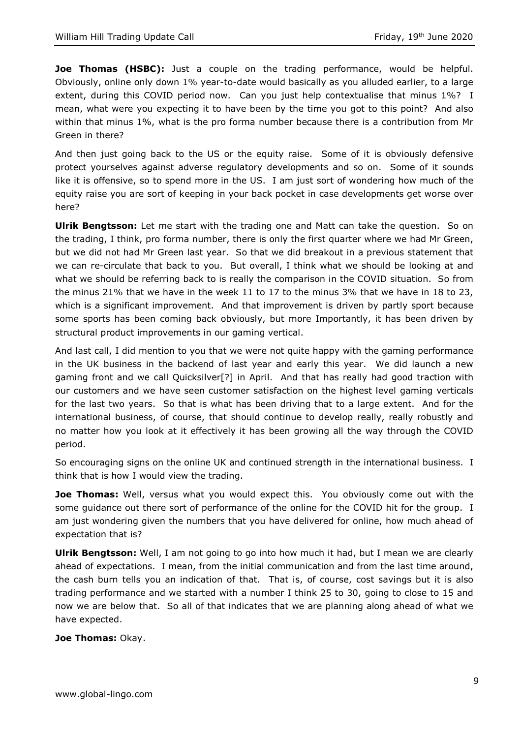**Joe Thomas (HSBC):** Just a couple on the trading performance, would be helpful. Obviously, online only down 1% year-to-date would basically as you alluded earlier, to a large extent, during this COVID period now. Can you just help contextualise that minus 1%? I mean, what were you expecting it to have been by the time you got to this point? And also within that minus 1%, what is the pro forma number because there is a contribution from Mr Green in there?

And then just going back to the US or the equity raise. Some of it is obviously defensive protect yourselves against adverse regulatory developments and so on. Some of it sounds like it is offensive, so to spend more in the US. I am just sort of wondering how much of the equity raise you are sort of keeping in your back pocket in case developments get worse over here?

Ulrik Bengtsson: Let me start with the trading one and Matt can take the question. So on the trading, I think, pro forma number, there is only the first quarter where we had Mr Green, but we did not had Mr Green last year. So that we did breakout in a previous statement that we can re-circulate that back to you. But overall, I think what we should be looking at and what we should be referring back to is really the comparison in the COVID situation. So from the minus 21% that we have in the week 11 to 17 to the minus 3% that we have in 18 to 23, which is a significant improvement. And that improvement is driven by partly sport because some sports has been coming back obviously, but more Importantly, it has been driven by structural product improvements in our gaming vertical.

And last call, I did mention to you that we were not quite happy with the gaming performance in the UK business in the backend of last year and early this year. We did launch a new gaming front and we call Quicksilver[?] in April. And that has really had good traction with our customers and we have seen customer satisfaction on the highest level gaming verticals for the last two years. So that is what has been driving that to a large extent. And for the international business, of course, that should continue to develop really, really robustly and no matter how you look at it effectively it has been growing all the way through the COVID period.

So encouraging signs on the online UK and continued strength in the international business. I think that is how I would view the trading.

**Joe Thomas:** Well, versus what you would expect this. You obviously come out with the some guidance out there sort of performance of the online for the COVID hit for the group. I am just wondering given the numbers that you have delivered for online, how much ahead of expectation that is?

**Ulrik Bengtsson:** Well, I am not going to go into how much it had, but I mean we are clearly ahead of expectations. I mean, from the initial communication and from the last time around, the cash burn tells you an indication of that. That is, of course, cost savings but it is also trading performance and we started with a number I think 25 to 30, going to close to 15 and now we are below that. So all of that indicates that we are planning along ahead of what we have expected.

## Joe Thomas: Okay.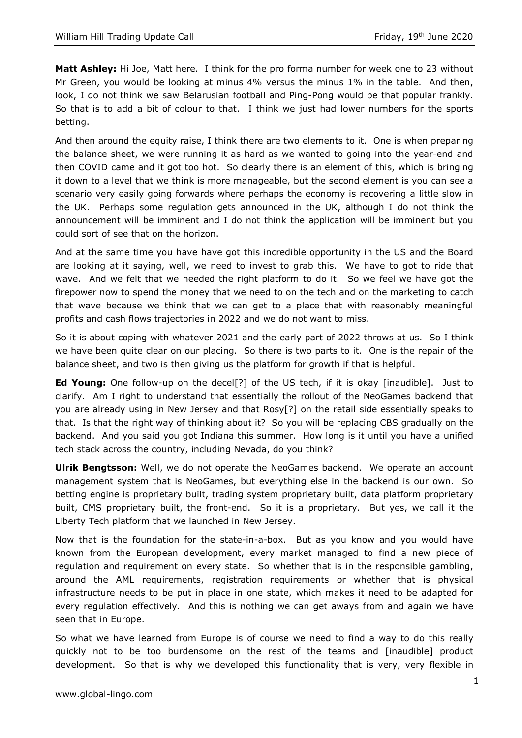Matt Ashley: Hi Joe, Matt here. I think for the pro forma number for week one to 23 without Mr Green, you would be looking at minus 4% versus the minus 1% in the table. And then, look, I do not think we saw Belarusian football and Ping-Pong would be that popular frankly. So that is to add a bit of colour to that. I think we just had lower numbers for the sports betting.

And then around the equity raise, I think there are two elements to it. One is when preparing the balance sheet, we were running it as hard as we wanted to going into the year-end and then COVID came and it got too hot. So clearly there is an element of this, which is bringing it down to a level that we think is more manageable, but the second element is you can see a scenario very easily going forwards where perhaps the economy is recovering a little slow in the UK. Perhaps some regulation gets announced in the UK, although I do not think the announcement will be imminent and I do not think the application will be imminent but you could sort of see that on the horizon.

And at the same time you have have got this incredible opportunity in the US and the Board are looking at it saying, well, we need to invest to grab this. We have to got to ride that wave. And we felt that we needed the right platform to do it. So we feel we have got the firepower now to spend the money that we need to on the tech and on the marketing to catch that wave because we think that we can get to a place that with reasonably meaningful profits and cash flows trajectories in 2022 and we do not want to miss.

So it is about coping with whatever 2021 and the early part of 2022 throws at us. So I think we have been quite clear on our placing. So there is two parts to it. One is the repair of the balance sheet, and two is then giving us the platform for growth if that is helpful.

**Ed Young:** One follow-up on the decel<sup>[?]</sup> of the US tech, if it is okay [inaudible]. Just to clarify. Am I right to understand that essentially the rollout of the NeoGames backend that you are already using in New Jersey and that Rosy[?] on the retail side essentially speaks to that. Is that the right way of thinking about it? So you will be replacing CBS gradually on the backend. And you said you got Indiana this summer. How long is it until you have a unified tech stack across the country, including Nevada, do you think?

**Ulrik Bengtsson:** Well, we do not operate the NeoGames backend. We operate an account management system that is NeoGames, but everything else in the backend is our own. betting engine is proprietary built, trading system proprietary built, data platform proprietary built, CMS proprietary built, the front-end. So it is a proprietary. But yes, we call it the Liberty Tech platform that we launched in New Jersey.

Now that is the foundation for the state-in-a-box. But as you know and you would have known from the European development, every market managed to find a new piece of regulation and requirement on every state. So whether that is in the responsible gambling, around the AML requirements, registration requirements or whether that is physical infrastructure needs to be put in place in one state, which makes it need to be adapted for every regulation effectively. And this is nothing we can get aways from and again we have seen that in Europe.

So what we have learned from Europe is of course we need to find a way to do this really quickly not to be too burdensome on the rest of the teams and [inaudible] product development. So that is why we developed this functionality that is very, very flexible in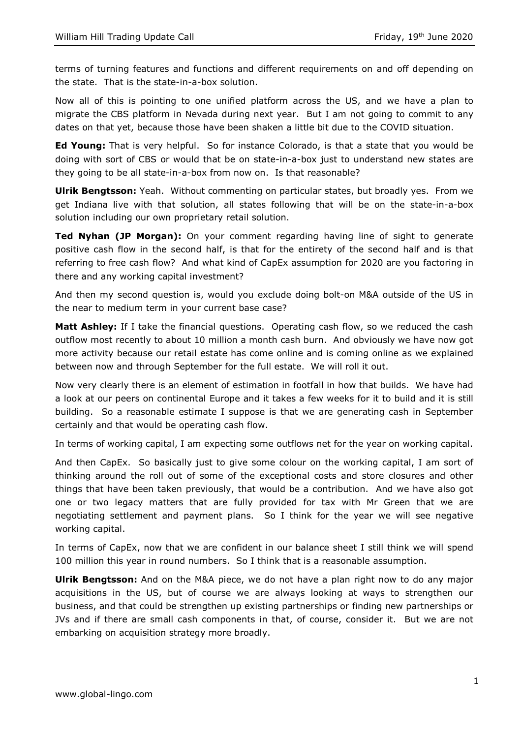terms of turning features and functions and different requirements on and off depending on the state. That is the state-in-a-box solution.

Now all of this is pointing to one unified platform across the US, and we have a plan to migrate the CBS platform in Nevada during next year. But I am not going to commit to any dates on that yet, because those have been shaken a little bit due to the COVID situation.

**Ed Young:** That is very helpful. So for instance Colorado, is that a state that you would be doing with sort of CBS or would that be on state-in-a-box just to understand new states are they going to be all state-in-a-box from now on. Is that reasonable?

**Ulrik Bengtsson:** Yeah. Without commenting on particular states, but broadly yes. From we get Indiana live with that solution, all states following that will be on the state-in-a-box solution including our own proprietary retail solution.

**Ted Nyhan (JP Morgan):** On your comment regarding having line of sight to generate positive cash flow in the second half, is that for the entirety of the second half and is that referring to free cash flow? And what kind of CapEx assumption for 2020 are you factoring in there and any working capital investment?

And then my second question is, would you exclude doing bolt-on M&A outside of the US in the near to medium term in your current base case?

**Matt Ashley:** If I take the financial questions. Operating cash flow, so we reduced the cash outflow most recently to about 10 million a month cash burn. And obviously we have now got more activity because our retail estate has come online and is coming online as we explained between now and through September for the full estate. We will roll it out.

Now very clearly there is an element of estimation in footfall in how that builds. We have had a look at our peers on continental Europe and it takes a few weeks for it to build and it is still building. So a reasonable estimate I suppose is that we are generating cash in September certainly and that would be operating cash flow.

In terms of working capital, I am expecting some outflows net for the year on working capital.

And then CapEx. So basically just to give some colour on the working capital, I am sort of thinking around the roll out of some of the exceptional costs and store closures and other things that have been taken previously, that would be a contribution. And we have also got one or two legacy matters that are fully provided for tax with Mr Green that we are negotiating settlement and payment plans. So I think for the year we will see negative working capital.

In terms of CapEx, now that we are confident in our balance sheet I still think we will spend 100 million this year in round numbers. So I think that is a reasonable assumption.

Ulrik Bengtsson: And on the M&A piece, we do not have a plan right now to do any major acquisitions in the US, but of course we are always looking at ways to strengthen our business, and that could be strengthen up existing partnerships or finding new partnerships or JVs and if there are small cash components in that, of course, consider it. But we are not embarking on acquisition strategy more broadly.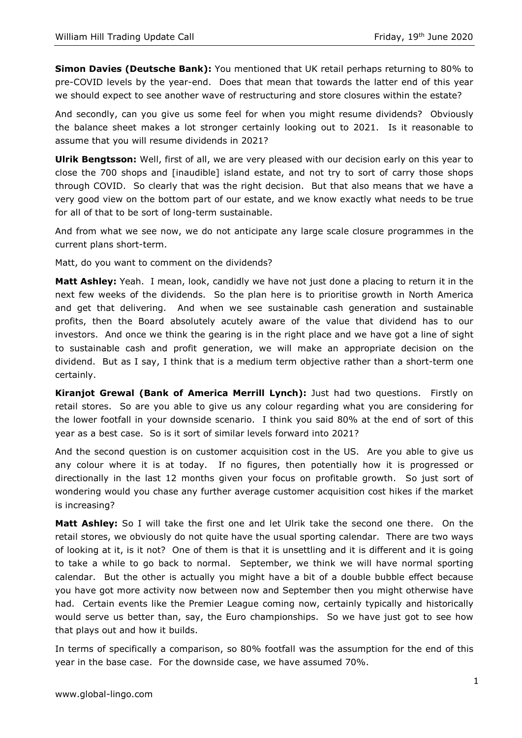**Simon Davies (Deutsche Bank):** You mentioned that UK retail perhaps returning to 80% to pre-COVID levels by the year-end. Does that mean that towards the latter end of this year we should expect to see another wave of restructuring and store closures within the estate?

And secondly, can you give us some feel for when you might resume dividends? Obviously the balance sheet makes a lot stronger certainly looking out to 2021. Is it reasonable to assume that you will resume dividends in 2021?

Ulrik Bengtsson: Well, first of all, we are very pleased with our decision early on this year to close the 700 shops and [inaudible] island estate, and not try to sort of carry those shops through COVID. So clearly that was the right decision. But that also means that we have a very good view on the bottom part of our estate, and we know exactly what needs to be true for all of that to be sort of long-term sustainable.

And from what we see now, we do not anticipate any large scale closure programmes in the current plans short-term.

Matt, do you want to comment on the dividends?

Matt Ashley: Yeah. I mean, look, candidly we have not just done a placing to return it in the next few weeks of the dividends. So the plan here is to prioritise growth in North America and get that delivering. And when we see sustainable cash generation and sustainable profits, then the Board absolutely acutely aware of the value that dividend has to our investors. And once we think the gearing is in the right place and we have got a line of sight to sustainable cash and profit generation, we will make an appropriate decision on the dividend. But as I say, I think that is a medium term objective rather than a short-term one certainly.

Kiranjot Grewal (Bank of America Merrill Lynch): Just had two questions. Firstly on retail stores. So are you able to give us any colour regarding what you are considering for the lower footfall in your downside scenario. I think you said 80% at the end of sort of this year as a best case. So is it sort of similar levels forward into 2021?

And the second question is on customer acquisition cost in the US. Are you able to give us any colour where it is at today. If no figures, then potentially how it is progressed or directionally in the last 12 months given your focus on profitable growth. So just sort of wondering would you chase any further average customer acquisition cost hikes if the market is increasing?

**Matt Ashley:** So I will take the first one and let Ulrik take the second one there. On the retail stores, we obviously do not quite have the usual sporting calendar. There are two ways of looking at it, is it not? One of them is that it is unsettling and it is different and it is going to take a while to go back to normal. September, we think we will have normal sporting calendar. But the other is actually you might have a bit of a double bubble effect because you have got more activity now between now and September then you might otherwise have had. Certain events like the Premier League coming now, certainly typically and historically would serve us better than, say, the Euro championships. So we have just got to see how that plays out and how it builds.

In terms of specifically a comparison, so 80% footfall was the assumption for the end of this year in the base case. For the downside case, we have assumed 70%.